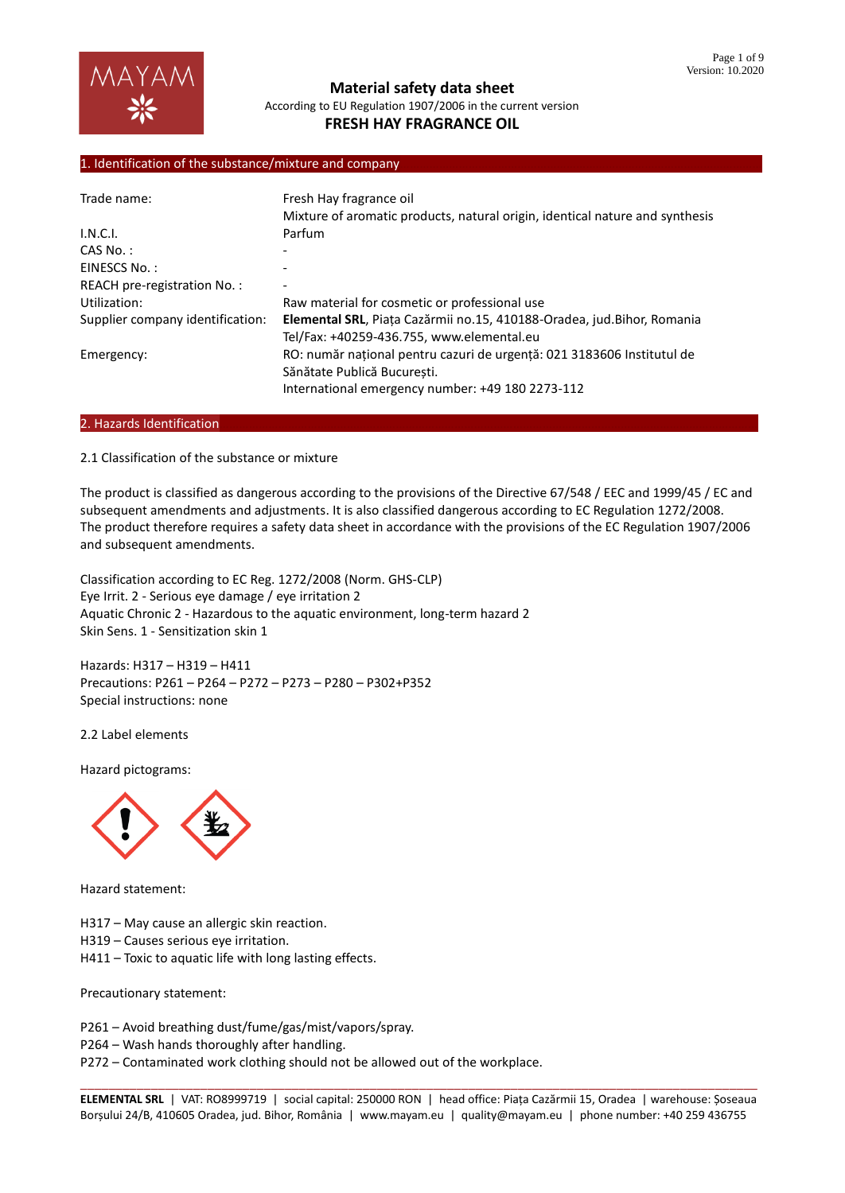#### 1. Identification of the substance/mixture and company

| Trade name:                      | Fresh Hay fragrance oil<br>Mixture of aromatic products, natural origin, identical nature and synthesis                                                   |
|----------------------------------|-----------------------------------------------------------------------------------------------------------------------------------------------------------|
| I.N.C.I.                         | Parfum                                                                                                                                                    |
| $CAS No.$ :                      |                                                                                                                                                           |
| EINESCS No.:                     |                                                                                                                                                           |
| REACH pre-registration No.:      |                                                                                                                                                           |
| Utilization:                     | Raw material for cosmetic or professional use                                                                                                             |
| Supplier company identification: | Elemental SRL, Piața Cazărmii no.15, 410188-Oradea, jud. Bihor, Romania<br>Tel/Fax: +40259-436.755, www.elemental.eu                                      |
| Emergency:                       | RO: număr național pentru cazuri de urgență: 021 3183606 Institutul de<br>Sănătate Publică București.<br>International emergency number: +49 180 2273-112 |

#### 2. Hazards Identification

2.1 Classification of the substance or mixture

The product is classified as dangerous according to the provisions of the Directive 67/548 / EEC and 1999/45 / EC and subsequent amendments and adjustments. It is also classified dangerous according to EC Regulation 1272/2008. The product therefore requires a safety data sheet in accordance with the provisions of the EC Regulation 1907/2006 and subsequent amendments.

Classification according to EC Reg. 1272/2008 (Norm. GHS-CLP) Eye Irrit. 2 - Serious eye damage / eye irritation 2 Aquatic Chronic 2 - Hazardous to the aquatic environment, long-term hazard 2 Skin Sens. 1 - Sensitization skin 1

Hazards: H317 – H319 – H411 Precautions: P261 – P264 – P272 – P273 – P280 – P302+P352 Special instructions: none

2.2 Label elements

Hazard pictograms:



Hazard statement:

H317 – May cause an allergic skin reaction.

H319 – Causes serious eye irritation.

H411 – Toxic to aquatic life with long lasting effects.

Precautionary statement:

P261 – Avoid breathing dust/fume/gas/mist/vapors/spray.

P264 – Wash hands thoroughly after handling.

P272 – Contaminated work clothing should not be allowed out of the workplace.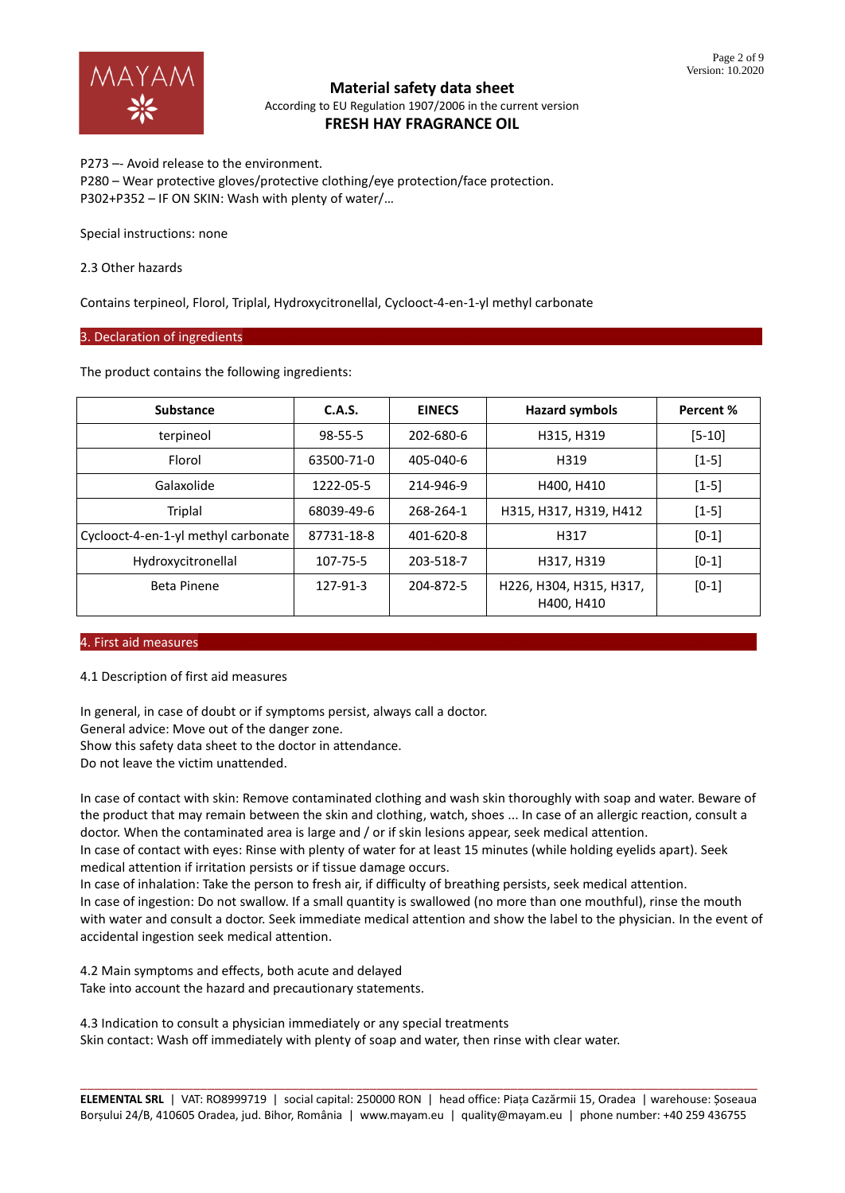

P273 –- Avoid release to the environment. P280 – Wear protective gloves/protective clothing/eye protection/face protection. P302+P352 – IF ON SKIN: Wash with plenty of water/…

Special instructions: none

2.3 Other hazards

Contains terpineol, Florol, Triplal, Hydroxycitronellal, Cyclooct-4-en-1-yl methyl carbonate

#### 3. Declaration of ingredients

The product contains the following ingredients:

| <b>Substance</b>                    | <b>C.A.S.</b> | <b>EINECS</b> | <b>Hazard symbols</b>                 | Percent %  |
|-------------------------------------|---------------|---------------|---------------------------------------|------------|
| terpineol                           | $98 - 55 - 5$ | 202-680-6     | H315, H319                            | $[5 - 10]$ |
| Florol                              | 63500-71-0    | 405-040-6     | H319                                  |            |
| Galaxolide                          | 1222-05-5     | 214-946-9     | H400, H410                            | $[1-5]$    |
| Triplal                             | 68039-49-6    | 268-264-1     | H315, H317, H319, H412                | $[1-5]$    |
| Cyclooct-4-en-1-yl methyl carbonate | 87731-18-8    | 401-620-8     | H317                                  | $[0-1]$    |
| Hydroxycitronellal                  | 107-75-5      | 203-518-7     | H317, H319                            | $[0-1]$    |
| <b>Beta Pinene</b>                  | 127-91-3      | 204-872-5     | H226, H304, H315, H317,<br>H400, H410 | $[0-1]$    |

#### 4. First aid measures

4.1 Description of first aid measures

In general, in case of doubt or if symptoms persist, always call a doctor. General advice: Move out of the danger zone. Show this safety data sheet to the doctor in attendance. Do not leave the victim unattended.

In case of contact with skin: Remove contaminated clothing and wash skin thoroughly with soap and water. Beware of the product that may remain between the skin and clothing, watch, shoes ... In case of an allergic reaction, consult a doctor. When the contaminated area is large and / or if skin lesions appear, seek medical attention.

In case of contact with eyes: Rinse with plenty of water for at least 15 minutes (while holding eyelids apart). Seek medical attention if irritation persists or if tissue damage occurs.

In case of inhalation: Take the person to fresh air, if difficulty of breathing persists, seek medical attention. In case of ingestion: Do not swallow. If a small quantity is swallowed (no more than one mouthful), rinse the mouth with water and consult a doctor. Seek immediate medical attention and show the label to the physician. In the event of accidental ingestion seek medical attention.

4.2 Main symptoms and effects, both acute and delayed Take into account the hazard and precautionary statements.

4.3 Indication to consult a physician immediately or any special treatments Skin contact: Wash off immediately with plenty of soap and water, then rinse with clear water.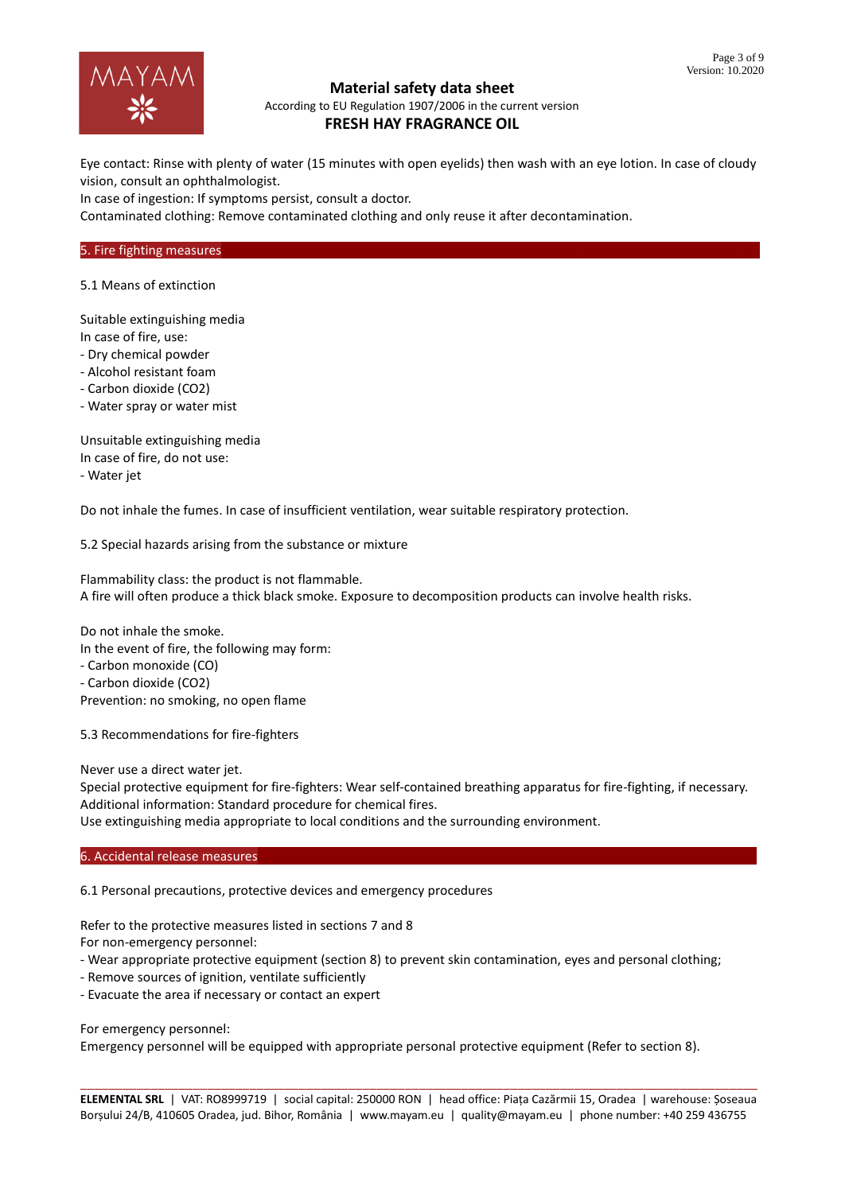

# **Material safety data sheet**

According to EU Regulation 1907/2006 in the current version

# **FRESH HAY FRAGRANCE OIL**

Eye contact: Rinse with plenty of water (15 minutes with open eyelids) then wash with an eye lotion. In case of cloudy vision, consult an ophthalmologist.

In case of ingestion: If symptoms persist, consult a doctor.

Contaminated clothing: Remove contaminated clothing and only reuse it after decontamination.

#### 5. Fire fighting measures

5.1 Means of extinction

Suitable extinguishing media

In case of fire, use:

- Dry chemical powder
- Alcohol resistant foam
- Carbon dioxide (CO2)
- Water spray or water mist

Unsuitable extinguishing media In case of fire, do not use: - Water jet

Do not inhale the fumes. In case of insufficient ventilation, wear suitable respiratory protection.

5.2 Special hazards arising from the substance or mixture

Flammability class: the product is not flammable. A fire will often produce a thick black smoke. Exposure to decomposition products can involve health risks.

Do not inhale the smoke. In the event of fire, the following may form: - Carbon monoxide (CO) - Carbon dioxide (CO2)

Prevention: no smoking, no open flame

5.3 Recommendations for fire-fighters

Never use a direct water jet.

Special protective equipment for fire-fighters: Wear self-contained breathing apparatus for fire-fighting, if necessary. Additional information: Standard procedure for chemical fires.

Use extinguishing media appropriate to local conditions and the surrounding environment.

#### 6. Accidental release measures

6.1 Personal precautions, protective devices and emergency procedures

Refer to the protective measures listed in sections 7 and 8

For non-emergency personnel:

- Wear appropriate protective equipment (section 8) to prevent skin contamination, eyes and personal clothing;
- Remove sources of ignition, ventilate sufficiently
- Evacuate the area if necessary or contact an expert

For emergency personnel:

Emergency personnel will be equipped with appropriate personal protective equipment (Refer to section 8).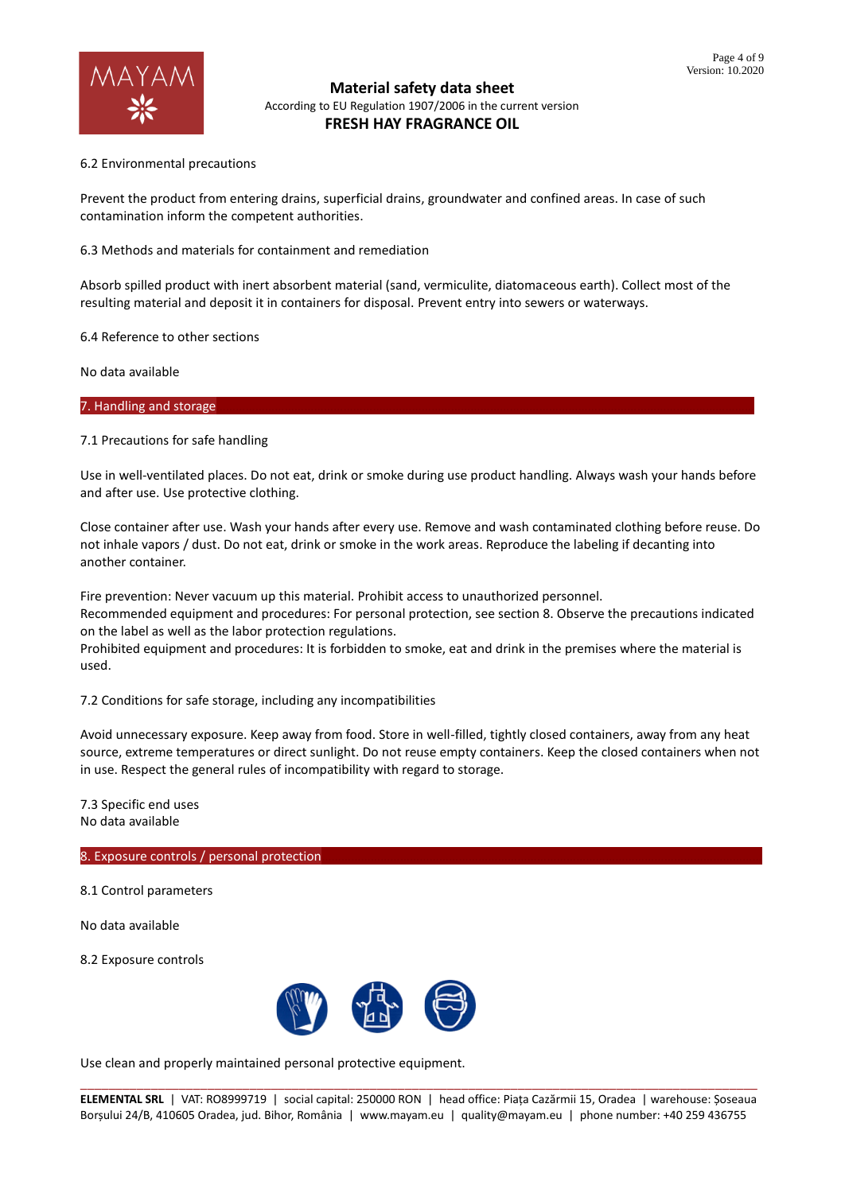

#### 6.2 Environmental precautions

Prevent the product from entering drains, superficial drains, groundwater and confined areas. In case of such contamination inform the competent authorities.

6.3 Methods and materials for containment and remediation

Absorb spilled product with inert absorbent material (sand, vermiculite, diatomaceous earth). Collect most of the resulting material and deposit it in containers for disposal. Prevent entry into sewers or waterways.

6.4 Reference to other sections

No data available

7. Handling and storage

7.1 Precautions for safe handling

Use in well-ventilated places. Do not eat, drink or smoke during use product handling. Always wash your hands before and after use. Use protective clothing.

Close container after use. Wash your hands after every use. Remove and wash contaminated clothing before reuse. Do not inhale vapors / dust. Do not eat, drink or smoke in the work areas. Reproduce the labeling if decanting into another container.

Fire prevention: Never vacuum up this material. Prohibit access to unauthorized personnel. Recommended equipment and procedures: For personal protection, see section 8. Observe the precautions indicated on the label as well as the labor protection regulations.

Prohibited equipment and procedures: It is forbidden to smoke, eat and drink in the premises where the material is used.

7.2 Conditions for safe storage, including any incompatibilities

Avoid unnecessary exposure. Keep away from food. Store in well-filled, tightly closed containers, away from any heat source, extreme temperatures or direct sunlight. Do not reuse empty containers. Keep the closed containers when not in use. Respect the general rules of incompatibility with regard to storage.

7.3 Specific end uses No data available

### 8. Exposure controls / personal protection

8.1 Control parameters

No data available

8.2 Exposure controls



Use clean and properly maintained personal protective equipment.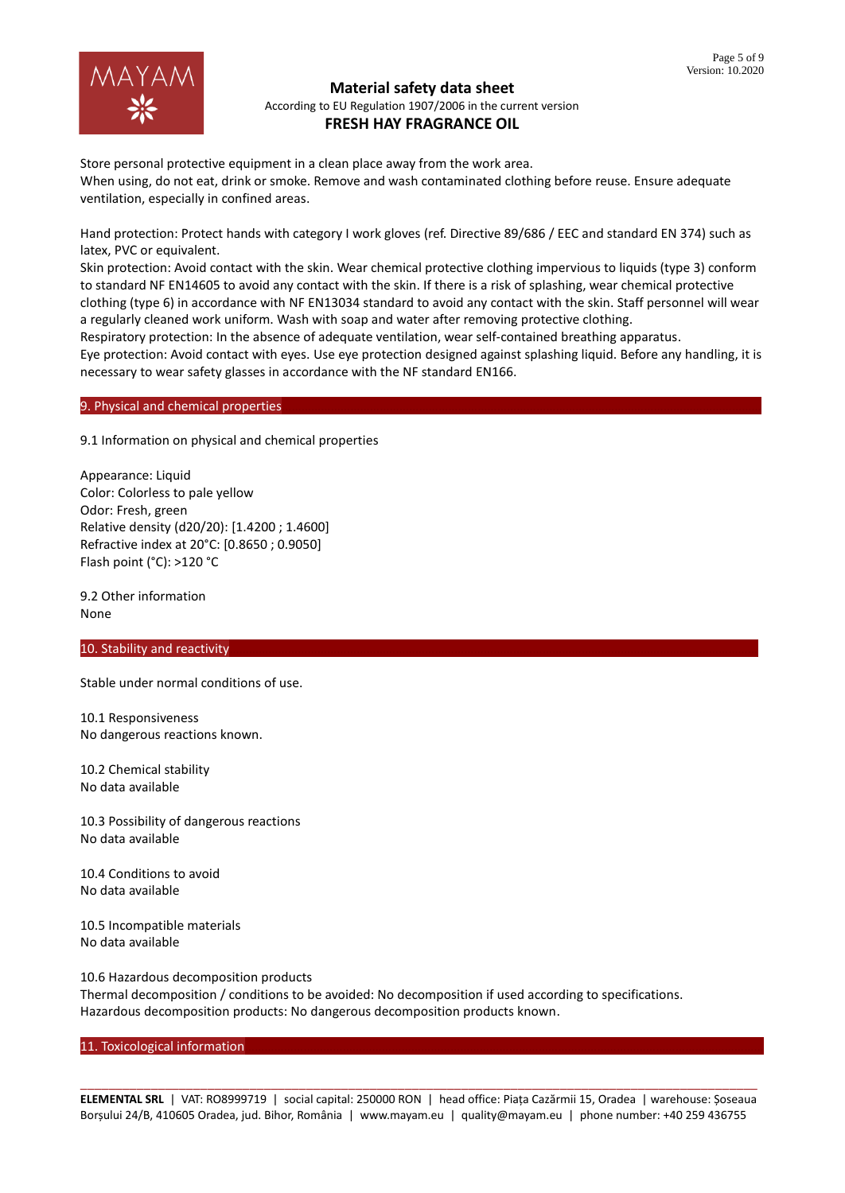

Store personal protective equipment in a clean place away from the work area. When using, do not eat, drink or smoke. Remove and wash contaminated clothing before reuse. Ensure adequate ventilation, especially in confined areas.

Hand protection: Protect hands with category I work gloves (ref. Directive 89/686 / EEC and standard EN 374) such as latex, PVC or equivalent.

Skin protection: Avoid contact with the skin. Wear chemical protective clothing impervious to liquids (type 3) conform to standard NF EN14605 to avoid any contact with the skin. If there is a risk of splashing, wear chemical protective clothing (type 6) in accordance with NF EN13034 standard to avoid any contact with the skin. Staff personnel will wear a regularly cleaned work uniform. Wash with soap and water after removing protective clothing.

Respiratory protection: In the absence of adequate ventilation, wear self-contained breathing apparatus.

Eye protection: Avoid contact with eyes. Use eye protection designed against splashing liquid. Before any handling, it is necessary to wear safety glasses in accordance with the NF standard EN166.

#### 9. Physical and chemical properties

9.1 Information on physical and chemical properties

Appearance: Liquid Color: Colorless to pale yellow Odor: Fresh, green Relative density (d20/20): [1.4200 ; 1.4600] Refractive index at 20°C: [0.8650 ; 0.9050] Flash point (°C): >120 °C

9.2 Other information None

## 10. Stability and reactivity

Stable under normal conditions of use.

10.1 Responsiveness No dangerous reactions known.

10.2 Chemical stability No data available

10.3 Possibility of dangerous reactions No data available

10.4 Conditions to avoid No data available

10.5 Incompatible materials No data available

10.6 Hazardous decomposition products Thermal decomposition / conditions to be avoided: No decomposition if used according to specifications. Hazardous decomposition products: No dangerous decomposition products known.

#### 11. Toxicological information

\_\_\_\_\_\_\_\_\_\_\_\_\_\_\_\_\_\_\_\_\_\_\_\_\_\_\_\_\_\_\_\_\_\_\_\_\_\_\_\_\_\_\_\_\_\_\_\_\_\_\_\_\_\_\_\_\_\_\_\_\_\_\_\_\_\_\_\_\_\_\_\_\_\_\_\_\_\_\_\_\_\_\_\_\_\_\_\_\_\_\_\_\_\_\_\_ **ELEMENTAL SRL** | VAT: RO8999719 | social capital: 250000 RON | head office: Piața Cazărmii 15, Oradea | warehouse: Șoseaua Borșului 24/B, 410605 Oradea, jud. Bihor, România | www.mayam.eu | quality@mayam.eu | phone number: +40 259 436755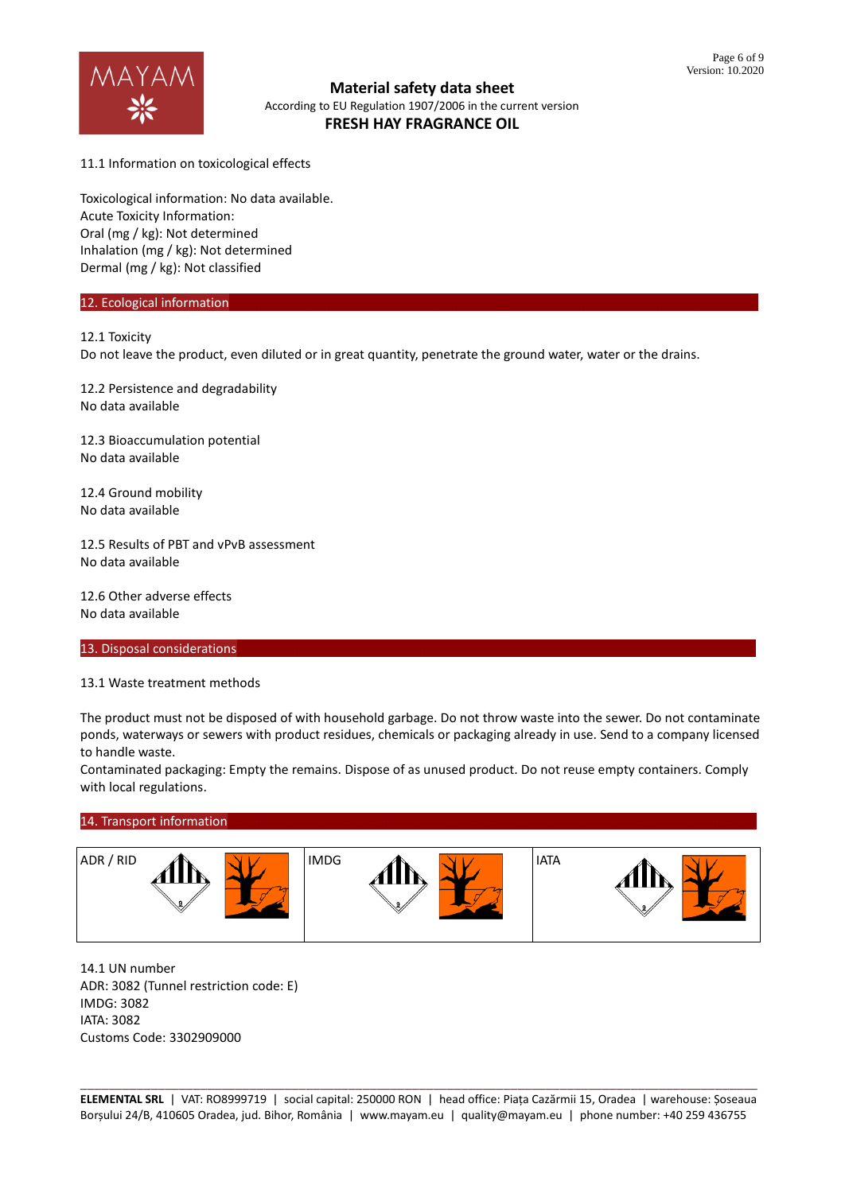

11.1 Information on toxicological effects

Toxicological information: No data available. Acute Toxicity Information: Oral (mg / kg): Not determined Inhalation (mg / kg): Not determined Dermal (mg / kg): Not classified

#### 12. Ecological information

12.1 Toxicity

Do not leave the product, even diluted or in great quantity, penetrate the ground water, water or the drains.

12.2 Persistence and degradability No data available

12.3 Bioaccumulation potential No data available

12.4 Ground mobility No data available

12.5 Results of PBT and vPvB assessment No data available

12.6 Other adverse effects No data available

13. Disposal considerations

13.1 Waste treatment methods

The product must not be disposed of with household garbage. Do not throw waste into the sewer. Do not contaminate ponds, waterways or sewers with product residues, chemicals or packaging already in use. Send to a company licensed to handle waste.

Contaminated packaging: Empty the remains. Dispose of as unused product. Do not reuse empty containers. Comply with local regulations.

#### 14. Transport information



14.1 UN number ADR: 3082 (Tunnel restriction code: E) IMDG: 3082 IATA: 3082 Customs Code: 3302909000

\_\_\_\_\_\_\_\_\_\_\_\_\_\_\_\_\_\_\_\_\_\_\_\_\_\_\_\_\_\_\_\_\_\_\_\_\_\_\_\_\_\_\_\_\_\_\_\_\_\_\_\_\_\_\_\_\_\_\_\_\_\_\_\_\_\_\_\_\_\_\_\_\_\_\_\_\_\_\_\_\_\_\_\_\_\_\_\_\_\_\_\_\_\_\_\_ **ELEMENTAL SRL** | VAT: RO8999719 | social capital: 250000 RON | head office: Piața Cazărmii 15, Oradea | warehouse: Șoseaua Borșului 24/B, 410605 Oradea, jud. Bihor, România | www.mayam.eu | quality@mayam.eu | phone number: +40 259 436755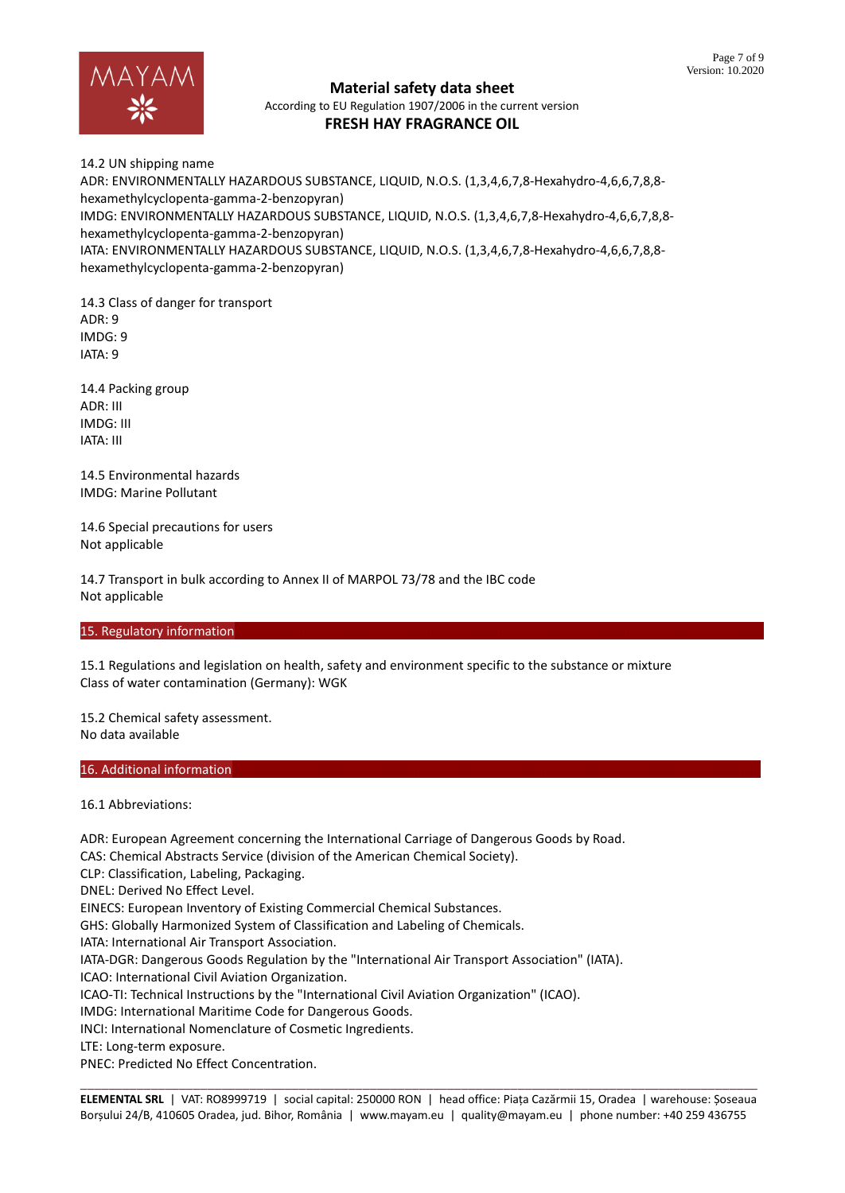

14.2 UN shipping name ADR: ENVIRONMENTALLY HAZARDOUS SUBSTANCE, LIQUID, N.O.S. (1,3,4,6,7,8-Hexahydro-4,6,6,7,8,8 hexamethylcyclopenta-gamma-2-benzopyran) IMDG: ENVIRONMENTALLY HAZARDOUS SUBSTANCE, LIQUID, N.O.S. (1,3,4,6,7,8-Hexahydro-4,6,6,7,8,8 hexamethylcyclopenta-gamma-2-benzopyran) IATA: ENVIRONMENTALLY HAZARDOUS SUBSTANCE, LIQUID, N.O.S. (1,3,4,6,7,8-Hexahydro-4,6,6,7,8,8 hexamethylcyclopenta-gamma-2-benzopyran)

14.3 Class of danger for transport  $ADR \cdot 9$ IMDG: 9 IATA: 9

14.4 Packing group ADR: III IMDG: III IATA: III

14.5 Environmental hazards IMDG: Marine Pollutant

14.6 Special precautions for users Not applicable

14.7 Transport in bulk according to Annex II of MARPOL 73/78 and the IBC code Not applicable

## 15. Regulatory information

15.1 Regulations and legislation on health, safety and environment specific to the substance or mixture Class of water contamination (Germany): WGK

15.2 Chemical safety assessment. No data available

#### 16. Additional information

16.1 Abbreviations:

\_\_\_\_\_\_\_\_\_\_\_\_\_\_\_\_\_\_\_\_\_\_\_\_\_\_\_\_\_\_\_\_\_\_\_\_\_\_\_\_\_\_\_\_\_\_\_\_\_\_\_\_\_\_\_\_\_\_\_\_\_\_\_\_\_\_\_\_\_\_\_\_\_\_\_\_\_\_\_\_\_\_\_\_\_\_\_\_\_\_\_\_\_\_\_\_ ADR: European Agreement concerning the International Carriage of Dangerous Goods by Road. CAS: Chemical Abstracts Service (division of the American Chemical Society). CLP: Classification, Labeling, Packaging. DNEL: Derived No Effect Level. EINECS: European Inventory of Existing Commercial Chemical Substances. GHS: Globally Harmonized System of Classification and Labeling of Chemicals. IATA: International Air Transport Association. IATA-DGR: Dangerous Goods Regulation by the "International Air Transport Association" (IATA). ICAO: International Civil Aviation Organization. ICAO-TI: Technical Instructions by the "International Civil Aviation Organization" (ICAO). IMDG: International Maritime Code for Dangerous Goods. INCI: International Nomenclature of Cosmetic Ingredients. LTE: Long-term exposure. PNEC: Predicted No Effect Concentration.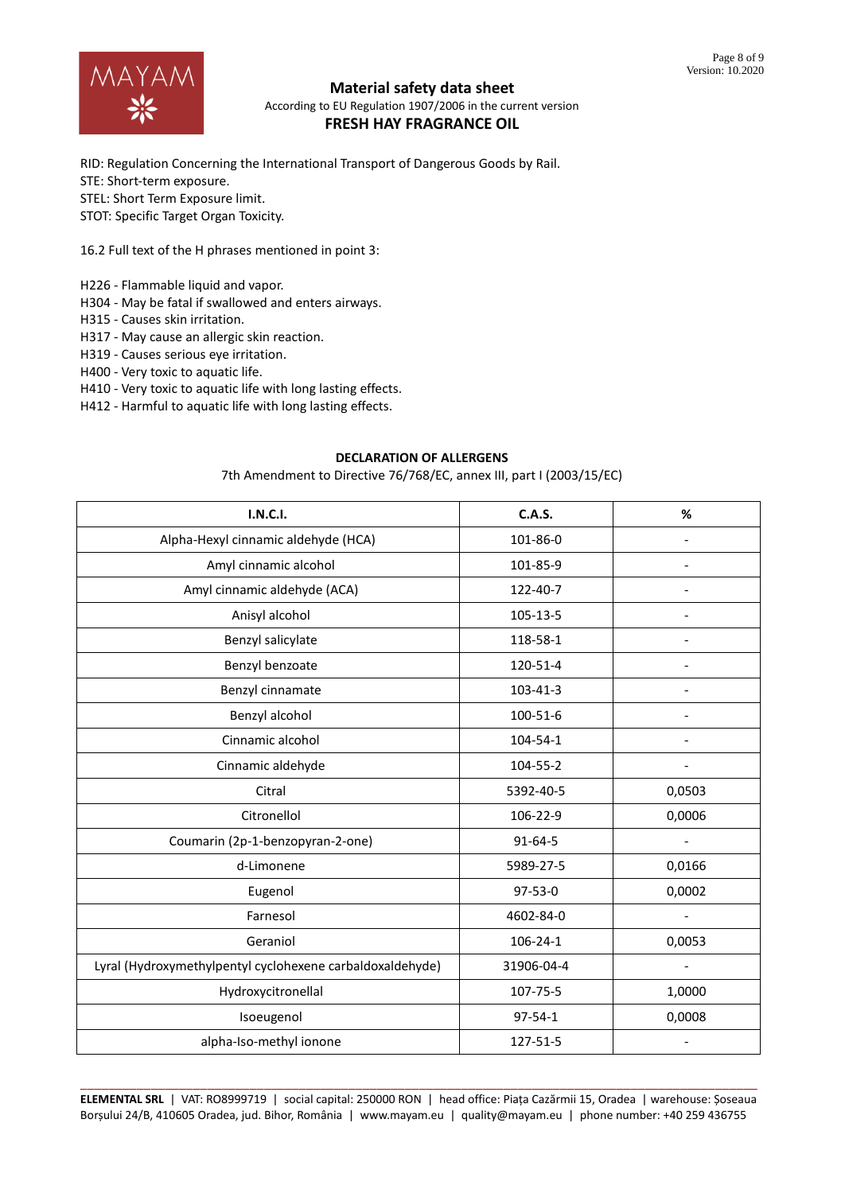

RID: Regulation Concerning the International Transport of Dangerous Goods by Rail. STE: Short-term exposure. STEL: Short Term Exposure limit. STOT: Specific Target Organ Toxicity.

16.2 Full text of the H phrases mentioned in point 3:

H226 - Flammable liquid and vapor.

H304 - May be fatal if swallowed and enters airways.

H315 - Causes skin irritation.

H317 - May cause an allergic skin reaction.

H319 - Causes serious eye irritation.

H400 - Very toxic to aquatic life.

H410 - Very toxic to aquatic life with long lasting effects.

H412 - Harmful to aquatic life with long lasting effects.

#### **DECLARATION OF ALLERGENS**

7th Amendment to Directive 76/768/EC, annex III, part I (2003/15/EC)

| <b>I.N.C.I.</b>                                           | <b>C.A.S.</b> | %                        |
|-----------------------------------------------------------|---------------|--------------------------|
| Alpha-Hexyl cinnamic aldehyde (HCA)                       | 101-86-0      |                          |
| Amyl cinnamic alcohol                                     | 101-85-9      |                          |
| Amyl cinnamic aldehyde (ACA)                              | 122-40-7      | $\overline{\phantom{a}}$ |
| Anisyl alcohol                                            | 105-13-5      |                          |
| Benzyl salicylate                                         | 118-58-1      |                          |
| Benzyl benzoate                                           | 120-51-4      |                          |
| Benzyl cinnamate                                          | 103-41-3      |                          |
| Benzyl alcohol                                            | 100-51-6      |                          |
| Cinnamic alcohol                                          | 104-54-1      |                          |
| Cinnamic aldehyde                                         | 104-55-2      | $\overline{\phantom{a}}$ |
| Citral                                                    | 5392-40-5     | 0,0503                   |
| Citronellol                                               | 106-22-9      | 0,0006                   |
| Coumarin (2p-1-benzopyran-2-one)                          | 91-64-5       | $\blacksquare$           |
| d-Limonene                                                | 5989-27-5     | 0,0166                   |
| Eugenol                                                   | 97-53-0       | 0,0002                   |
| Farnesol                                                  | 4602-84-0     | $\overline{\phantom{a}}$ |
| Geraniol                                                  | 106-24-1      | 0,0053                   |
| Lyral (Hydroxymethylpentyl cyclohexene carbaldoxaldehyde) | 31906-04-4    |                          |
| Hydroxycitronellal                                        | 107-75-5      | 1,0000                   |
| Isoeugenol                                                | 97-54-1       | 0,0008                   |
| alpha-Iso-methyl ionone                                   | 127-51-5      |                          |

\_\_\_\_\_\_\_\_\_\_\_\_\_\_\_\_\_\_\_\_\_\_\_\_\_\_\_\_\_\_\_\_\_\_\_\_\_\_\_\_\_\_\_\_\_\_\_\_\_\_\_\_\_\_\_\_\_\_\_\_\_\_\_\_\_\_\_\_\_\_\_\_\_\_\_\_\_\_\_\_\_\_\_\_\_\_\_\_\_\_\_\_\_\_\_\_ **ELEMENTAL SRL** | VAT: RO8999719 | social capital: 250000 RON | head office: Piața Cazărmii 15, Oradea | warehouse: Șoseaua Borșului 24/B, 410605 Oradea, jud. Bihor, România | www.mayam.eu | quality@mayam.eu | phone number: +40 259 436755